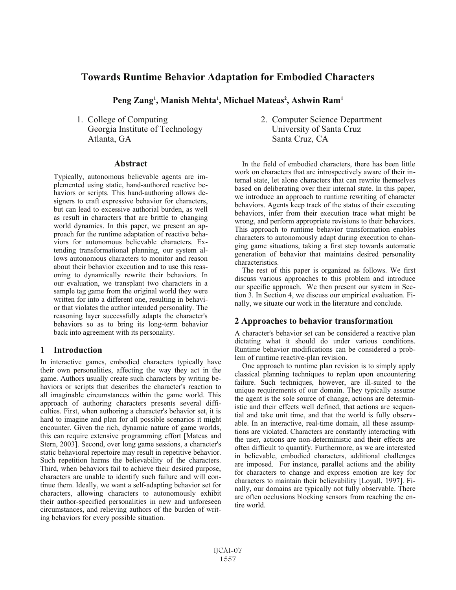# **Towards Runtime Behavior Adaptation for Embodied Characters**

Peng Zang<sup>1</sup>, Manish Mehta<sup>1</sup>, Michael Mateas<sup>2</sup>, Ashwin Ram<sup>1</sup>

1. College of Computing Georgia Institute of Technology Atlanta, GA

## **Abstract**

Typically, autonomous believable agents are implemented using static, hand-authored reactive behaviors or scripts. This hand-authoring allows designers to craft expressive behavior for characters, but can lead to excessive authorial burden, as well as result in characters that are brittle to changing world dynamics. In this paper, we present an approach for the runtime adaptation of reactive behaviors for autonomous believable characters. Extending transformational planning, our system allows autonomous characters to monitor and reason about their behavior execution and to use this reasoning to dynamically rewrite their behaviors. In our evaluation, we transplant two characters in a sample tag game from the original world they were written for into a different one, resulting in behavior that violates the author intended personality. The reasoning layer successfully adapts the character's behaviors so as to bring its long-term behavior back into agreement with its personality.

#### **Introduction** 1

In interactive games, embodied characters typically have their own personalities, affecting the way they act in the game. Authors usually create such characters by writing behaviors or scripts that describes the character's reaction to all imaginable circumstances within the game world. This approach of authoring characters presents several difficulties. First, when authoring a character's behavior set, it is hard to imagine and plan for all possible scenarios it might encounter. Given the rich, dynamic nature of game worlds, this can require extensive programming effort [Mateas and Stern, 2003]. Second, over long game sessions, a character's static behavioral repertoire may result in repetitive behavior. Such repetition harms the believability of the characters. Third, when behaviors fail to achieve their desired purpose, characters are unable to identify such failure and will continue them. Ideally, we want a self-adapting behavior set for characters, allowing characters to autonomously exhibit their author-specified personalities in new and unforeseen circumstances, and relieving authors of the burden of writing behaviors for every possible situation.

2. Computer Science Department University of Santa Cruz Santa Cruz, CA

In the field of embodied characters, there has been little work on characters that are introspectively aware of their internal state, let alone characters that can rewrite themselves based on deliberating over their internal state. In this paper, we introduce an approach to runtime rewriting of character behaviors. Agents keep track of the status of their executing behaviors, infer from their execution trace what might be wrong, and perform appropriate revisions to their behaviors. This approach to runtime behavior transformation enables characters to autonomously adapt during execution to changing game situations, taking a first step towards automatic generation of behavior that maintains desired personality characteristics.

The rest of this paper is organized as follows. We first discuss various approaches to this problem and introduce our specific approach. We then present our system in Section 3. In Section 4, we discuss our empirical evaluation. Finally, we situate our work in the literature and conclude.

## 2 Approaches to behavior transformation

A character's behavior set can be considered a reactive plan dictating what it should do under various conditions. Runtime behavior modifications can be considered a problem of runtime reactive-plan revision.

One approach to runtime plan revision is to simply apply classical planning techniques to replan upon encountering failure. Such techniques, however, are ill-suited to the unique requirements of our domain. They typically assume the agent is the sole source of change, actions are deterministic and their effects well defined, that actions are sequential and take unit time, and that the world is fully observable. In an interactive, real-time domain, all these assumptions are violated. Characters are constantly interacting with the user, actions are non-deterministic and their effects are often difficult to quantify. Furthermore, as we are interested in believable, embodied characters, additional challenges are imposed. For instance, parallel actions and the ability for characters to change and express emotion are key for characters to maintain their believability [Loyall, 1997]. Finally, our domains are typically not fully observable. There are often occlusions blocking sensors from reaching the entire world.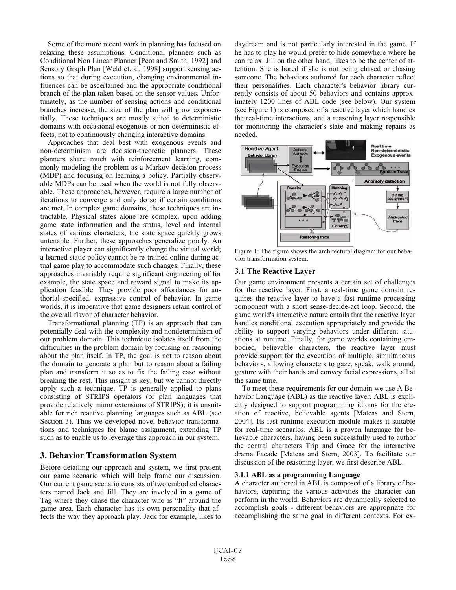Some of the more recent work in planning has focused on relaxing these assumptions. Conditional planners such as Conditional Non Linear Planner [Peot and Smith, 1992] and Sensory Graph Plan [Weld et. al, 1998] support sensing actions so that during execution, changing environmental influences can be ascertained and the appropriate conditional branch of the plan taken based on the sensor values. Unfortunately, as the number of sensing actions and conditional branches increase, the size of the plan will grow exponentially. These techniques are mostly suited to deterministic domains with occasional exogenous or non-deterministic effects, not to continuously changing interactive domains.

Approaches that deal best with exogenous events and non-determinism are decision-theoretic planners. These planners share much with reinforcement learning, commonly modeling the problem as a Markov decision process (MDP) and focusing on learning a policy. Partially observable MDPs can be used when the world is not fully observable. These approaches, however, require a large number of iterations to converge and only do so if certain conditions are met. In complex game domains, these techniques are intractable. Physical states alone are complex, upon adding game state information and the status, level and internal states of various characters, the state space quickly grows untenable. Further, these approaches generalize poorly. An interactive player can significantly change the virtual world; a learned static policy cannot be re-trained online during actual game play to accommodate such changes. Finally, these approaches invariably require significant engineering of for example, the state space and reward signal to make its application feasible. They provide poor affordances for authorial-specified, expressive control of behavior. In game worlds, it is imperative that game designers retain control of the overall flavor of character behavior.

Transformational planning (TP) is an approach that can potentially deal with the complexity and nondeterminism of our problem domain. This technique isolates itself from the difficulties in the problem domain by focusing on reasoning about the plan itself. In TP, the goal is not to reason about the domain to generate a plan but to reason about a failing plan and transform it so as to fix the failing case without breaking the rest. This insight is key, but we cannot directly apply such a technique. TP is generally applied to plans consisting of STRIPS operators (or plan languages that provide relatively minor extensions of STRIPS); it is unsuitable for rich reactive planning languages such as ABL (see Section 3). Thus we developed novel behavior transformations and techniques for blame assignment, extending TP such as to enable us to leverage this approach in our system.

## **3. Behavior Transformation System**

Before detailing our approach and system, we first present our game scenario which will help frame our discussion. Our current game scenario consists of two embodied characters named Jack and Jill. They are involved in a game of Tag where they chase the character who is "It" around the game area. Each character has its own personality that affects the way they approach play. Jack for example, likes to

daydream and is not particularly interested in the game. If he has to play he would prefer to hide somewhere where he can relax. Jill on the other hand, likes to be the center of attention. She is bored if she is not being chased or chasing someone. The behaviors authored for each character reflect their personalities. Each character's behavior library currently consists of about 50 behaviors and contains approximately 1200 lines of ABL code (see below). Our system (see Figure 1) is composed of a reactive layer which handles the real-time interactions, and a reasoning layer responsible for monitoring the character's state and making repairs as needed.



Figure 1: The figure shows the architectural diagram for our behavior transformation system.

#### **3.1 The Reactive Layer**

Our game environment presents a certain set of challenges for the reactive layer. First, a real-time game domain requires the reactive layer to have a fast runtime processing component with a short sense-decide-act loop. Second, the game world's interactive nature entails that the reactive layer handles conditional execution appropriately and provide the ability to support varying behaviors under different situations at runtime. Finally, for game worlds containing embodied, believable characters, the reactive layer must provide support for the execution of multiple, simultaneous behaviors, allowing characters to gaze, speak, walk around, gesture with their hands and convey facial expressions, all at the same time.

To meet these requirements for our domain we use A Behavior Language (ABL) as the reactive layer. ABL is explicitly designed to support programming idioms for the creation of reactive, believable agents [Mateas and Stern, 2004]. Its fast runtime execution module makes it suitable for real-time scenarios. ABL is a proven language for believable characters, having been successfully used to author the central characters Trip and Grace for the interactive drama Facade [Mateas and Stern, 2003]. To facilitate our discussion of the reasoning layer, we first describe ABL.

#### 3.1.1 ABL as a programming Language

A character authored in ABL is composed of a library of behaviors, capturing the various activities the character can perform in the world. Behaviors are dynamically selected to accomplish goals - different behaviors are appropriate for accomplishing the same goal in different contexts. For ex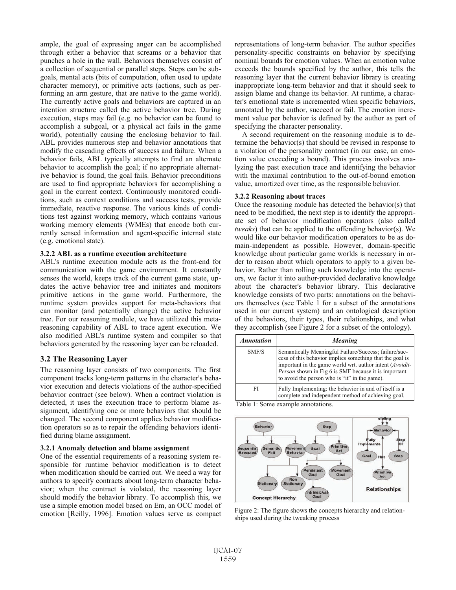ample, the goal of expressing anger can be accomplished through either a behavior that screams or a behavior that punches a hole in the wall. Behaviors themselves consist of a collection of sequential or parallel steps. Steps can be subgoals, mental acts (bits of computation, often used to update character memory), or primitive acts (actions, such as performing an arm gesture, that are native to the game world). The currently active goals and behaviors are captured in an intention structure called the active behavior tree. During execution, steps may fail (e.g. no behavior can be found to accomplish a subgoal, or a physical act fails in the game world), potentially causing the enclosing behavior to fail. ABL provides numerous step and behavior annotations that modify the cascading effects of success and failure. When a behavior fails, ABL typically attempts to find an alternate behavior to accomplish the goal; if no appropriate alternative behavior is found, the goal fails. Behavior preconditions are used to find appropriate behaviors for accomplishing a goal in the current context. Continuously monitored conditions, such as context conditions and success tests, provide immediate, reactive response. The various kinds of conditions test against working memory, which contains various working memory elements (WMEs) that encode both currently sensed information and agent-specific internal state (e.g. emotional state).

#### 3.2.2 ABL as a runtime execution architecture

ABL's runtime execution module acts as the front-end for communication with the game environment. It constantly senses the world, keeps track of the current game state, updates the active behavior tree and initiates and monitors primitive actions in the game world. Furthermore, the runtime system provides support for meta-behaviors that can monitor (and potentially change) the active behavior tree. For our reasoning module, we have utilized this metareasoning capability of ABL to trace agent execution. We also modified ABL's runtime system and compiler so that behaviors generated by the reasoning layer can be reloaded.

## **3.2 The Reasoning Laver**

The reasoning layer consists of two components. The first component tracks long-term patterns in the character's behavior execution and detects violations of the author-specified behavior contract (see below). When a contract violation is detected, it uses the execution trace to perform blame assignment, identifying one or more behaviors that should be changed. The second component applies behavior modification operators so as to repair the offending behaviors identified during blame assignment.

#### 3.2.1 Anomaly detection and blame assignment

One of the essential requirements of a reasoning system responsible for runtime behavior modification is to detect when modification should be carried out. We need a way for authors to specify contracts about long-term character behavior; when the contract is violated, the reasoning layer should modify the behavior library. To accomplish this, we use a simple emotion model based on Em. an OCC model of emotion [Reilly, 1996]. Emotion values serve as compact representations of long-term behavior. The author specifies personality-specific constraints on behavior by specifying nominal bounds for emotion values. When an emotion value exceeds the bounds specified by the author, this tells the reasoning layer that the current behavior library is creating inappropriate long-term behavior and that it should seek to assign blame and change its behavior. At runtime, a character's emotional state is incremented when specific behaviors, annotated by the author, succeed or fail. The emotion increment value per behavior is defined by the author as part of specifying the character personality.

A second requirement on the reasoning module is to determine the behavior(s) that should be revised in response to a violation of the personality contract (in our case, an emotion value exceeding a bound). This process involves analyzing the past execution trace and identifying the behavior with the maximal contribution to the out-of-bound emotion value, amortized over time, as the responsible behavior.

#### 3.2.2 Reasoning about traces

Once the reasoning module has detected the behavior(s) that need to be modified, the next step is to identify the appropriate set of behavior modification operators (also called tweaks) that can be applied to the offending behavior(s). We would like our behavior modification operators to be as domain-independent as possible. However, domain-specific knowledge about particular game worlds is necessary in order to reason about which operators to apply to a given behavior. Rather than rolling such knowledge into the operators, we factor it into author-provided declarative knowledge about the character's behavior library. This declarative knowledge consists of two parts: annotations on the behaviors themselves (see Table 1 for a subset of the annotations used in our current system) and an ontological description of the behaviors, their types, their relationships, and what they accomplish (see Figure 2 for a subset of the ontology).

| <b>Annotation</b> | <b>Meaning</b>                                                                                                                                                                                                                                                                                         |
|-------------------|--------------------------------------------------------------------------------------------------------------------------------------------------------------------------------------------------------------------------------------------------------------------------------------------------------|
| SMF/S             | Semantically Meaningful Failure/Success: failure/suc-<br>cess of this behavior implies something that the goal is<br>important in the game world wrt. author intent ( <i>Avoidit</i> -<br><i>Person</i> shown in Fig 6 is SMF because it is important<br>to avoid the person who is "it" in the game). |
| FI                | Fully Implementing: the behavior in and of itself is a<br>complete and independent method of achieving goal.                                                                                                                                                                                           |

Table 1: Some example annotations.



Figure 2: The figure shows the concepts hierarchy and relationships used during the tweaking process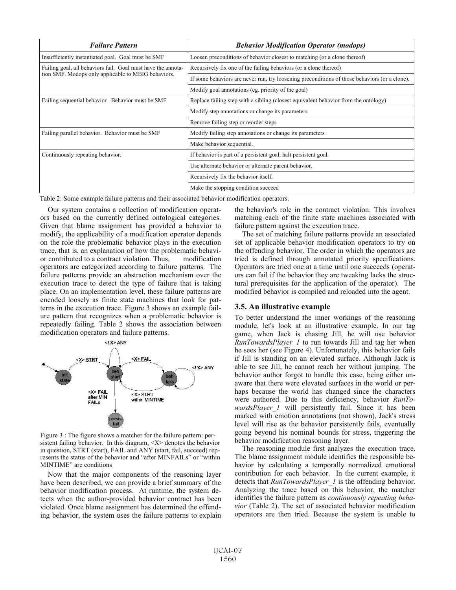| <b>Failure Pattern</b>                                       | <b>Behavior Modification Operator (modops)</b>                                                |
|--------------------------------------------------------------|-----------------------------------------------------------------------------------------------|
| Insufficiently instantiated goal. Goal must be SMF           | Loosen preconditions of behavior closest to matching (or a clone thereof)                     |
| Failing goal, all behaviors fail. Goal must have the annota- | Recursively fix one of the failing behaviors (or a clone thereof)                             |
| tion SMF. Modops only applicable to MBIG behaviors.          | If some behaviors are never run, try loosening preconditions of those behaviors (or a clone). |
|                                                              | Modify goal annotations (eg. priority of the goal)                                            |
| Failing sequential behavior. Behavior must be SMF            | Replace failing step with a sibling (closest equivalent behavior from the ontology)           |
|                                                              | Modify step annotations or change its parameters                                              |
|                                                              | Remove failing step or reorder steps                                                          |
| Failing parallel behavior. Behavior must be SMF              | Modify failing step annotations or change its parameters                                      |
|                                                              | Make behavior sequential.                                                                     |
| Continuously repeating behavior.                             | If behavior is part of a persistent goal, halt persistent goal.                               |
|                                                              | Use alternate behavior or alternate parent behavior.                                          |
|                                                              | Recursively fix the behavior itself.                                                          |
|                                                              | Make the stopping condition succeed                                                           |

Table 2: Some example failure patterns and their associated behavior modification operators.

Our system contains a collection of modification operators based on the currently defined ontological categories. Given that blame assignment has provided a behavior to modify, the applicability of a modification operator depends on the role the problematic behavior plays in the execution trace, that is, an explanation of how the problematic behavior contributed to a contract violation. Thus, modification operators are categorized according to failure patterns. The failure patterns provide an abstraction mechanism over the execution trace to detect the type of failure that is taking place. On an implementation level, these failure patterns are encoded loosely as finite state machines that look for patterns in the execution trace. Figure 3 shows an example failure pattern that recognizes when a problematic behavior is repeatedly failing. Table 2 shows the association between modification operators and failure patterns.



Figure 3 : The figure shows a matcher for the failure pattern: persistent failing behavior. In this diagram, <X> denotes the behavior in question, STRT (start), FAIL and ANY (start, fail, succeed) represents the status of the behavior and "after MINFAILs" or "within MINTIME" are conditions

Now that the major components of the reasoning layer have been described, we can provide a brief summary of the behavior modification process. At runtime, the system detects when the author-provided behavior contract has been violated. Once blame assignment has determined the offending behavior, the system uses the failure patterns to explain the behavior's role in the contract violation. This involves matching each of the finite state machines associated with failure pattern against the execution trace.

The set of matching failure patterns provide an associated set of applicable behavior modification operators to try on the offending behavior. The order in which the operators are tried is defined through annotated priority specifications. Operators are tried one at a time until one succeeds (operators can fail if the behavior they are tweaking lacks the structural prerequisites for the application of the operator). The modified behavior is compiled and reloaded into the agent.

## 3.5. An illustrative example

To better understand the inner workings of the reasoning module, let's look at an illustrative example. In our tag game, when Jack is chasing Jill, he will use behavior *RunTowardsPlaver 1* to run towards Jill and tag her when he sees her (see Figure 4). Unfortunately, this behavior fails if Jill is standing on an elevated surface. Although Jack is able to see Jill, he cannot reach her without jumping. The behavior author forgot to handle this case, being either unaware that there were elevated surfaces in the world or perhaps because the world has changed since the characters were authored. Due to this deficiency, behavior RunTowardsPlayer 1 will persistently fail. Since it has been marked with emotion annotations (not shown), Jack's stress level will rise as the behavior persistently fails, eventually going beyond his nominal bounds for stress, triggering the behavior modification reasoning layer.

The reasoning module first analyzes the execution trace. The blame assignment module identifies the responsible behavior by calculating a temporally normalized emotional contribution for each behavior. In the current example, it detects that *RunTowardsPlayer 1* is the offending behavior. Analyzing the trace based on this behavior, the matcher identifies the failure pattern as *continuously repeating beha*vior (Table 2). The set of associated behavior modification operators are then tried. Because the system is unable to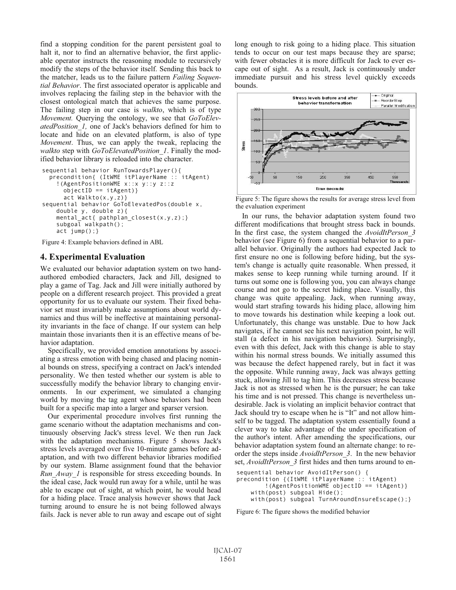find a stopping condition for the parent persistent goal to halt it, nor to find an alternative behavior, the first applicable operator instructs the reasoning module to recursively modify the steps of the behavior itself. Sending this back to the matcher, leads us to the failure pattern Failing Sequential Behavior. The first associated operator is applicable and involves replacing the failing step in the behavior with the closest ontological match that achieves the same purpose. The failing step in our case is *walkto*, which is of type Movement. Querying the ontology, we see that GoToElevatedPosition 1, one of Jack's behaviors defined for him to locate and hide on an elevated platform, is also of type Movement. Thus, we can apply the tweak, replacing the walkto step with GoToElevatedPosition 1. Finally the modified behavior library is reloaded into the character.

```
sequential behavior RunTowardsPlayer(){
 precondition{ (ItWME itPlayerName :: itAgent)
    ! (AgentPositionWME x::x y::y z::z
      objectID == itAgent)act Walkto(x, y, z)}
sequential behavior GoToElevatedPos(double x,
   double y, double z) {
   mental_act{ pathplan_closest(x,y,z);}
   subgoal walkpath();
   act jump();
```
Figure 4: Example behaviors defined in ABL

### **4. Experimental Evaluation**

We evaluated our behavior adaptation system on two handauthored embodied characters, Jack and Jill, designed to play a game of Tag. Jack and Jill were initially authored by people on a different research project. This provided a great opportunity for us to evaluate our system. Their fixed behavior set must invariably make assumptions about world dynamics and thus will be ineffective at maintaining personality invariants in the face of change. If our system can help maintain those invariants then it is an effective means of behavior adaptation.

Specifically, we provided emotion annotations by associating a stress emotion with being chased and placing nominal bounds on stress, specifying a contract on Jack's intended personality. We then tested whether our system is able to successfully modify the behavior library to changing environments. In our experiment, we simulated a changing world by moving the tag agent whose behaviors had been built for a specific map into a larger and sparser version.

Our experimental procedure involves first running the game scenario without the adaptation mechanisms and continuously observing Jack's stress level. We then run Jack with the adaptation mechanisms. Figure 5 shows Jack's stress levels averaged over five 10-minute games before adaptation, and with two different behavior libraries modified by our system. Blame assignment found that the behavior *Run Away 1* is responsible for stress exceeding bounds. In the ideal case. Jack would run away for a while, until he was able to escape out of sight, at which point, he would head for a hiding place. Trace analysis however shows that Jack turning around to ensure he is not being followed always fails. Jack is never able to run away and escape out of sight long enough to risk going to a hiding place. This situation tends to occur on our test maps because they are sparse; with fewer obstacles it is more difficult for Jack to ever escape out of sight. As a result, Jack is continuously under immediate pursuit and his stress level quickly exceeds bounds.



Figure 5: The figure shows the results for average stress level from the evaluation experiment

In our runs, the behavior adaptation system found two different modifications that brought stress back in bounds. In the first case, the system changed the AvoidItPerson 3 behavior (see Figure 6) from a sequential behavior to a parallel behavior. Originally the authors had expected Jack to first ensure no one is following before hiding, but the system's change is actually quite reasonable. When pressed, it makes sense to keep running while turning around. If it turns out some one is following you, you can always change course and not go to the secret hiding place. Visually, this change was quite appealing. Jack, when running away, would start strafing towards his hiding place, allowing him to move towards his destination while keeping a look out. Unfortunately, this change was unstable. Due to how Jack navigates, if he cannot see his next navigation point, he will stall (a defect in his navigation behaviors). Surprisingly, even with this defect, Jack with this change is able to stay within his normal stress bounds. We initially assumed this was because the defect happened rarely, but in fact it was the opposite. While running away, Jack was always getting stuck, allowing Jill to tag him. This decreases stress because Jack is not as stressed when he is the pursuer; he can take his time and is not pressed. This change is nevertheless undesirable. Jack is violating an implicit behavior contract that Jack should try to escape when he is "It" and not allow himself to be tagged. The adaptation system essentially found a clever way to take advantage of the under specification of the author's intent. After amending the specifications, our behavior adaptation system found an alternate change: to reorder the steps inside *AvoidItPerson* 3. In the new behavior set, AvoidItPerson 3 first hides and then turns around to en-

```
sequential behavior AvoidItPerson() {
precondition {(ItWME itPlayerName :: itAgent)
        !( AgentPositionWME objectID == itAgent) }
    with(post) subgoal Hide();
    with(post) subgoal TurnAroundEnsureEscape(); }
```
Figure 6: The figure shows the modified behavior